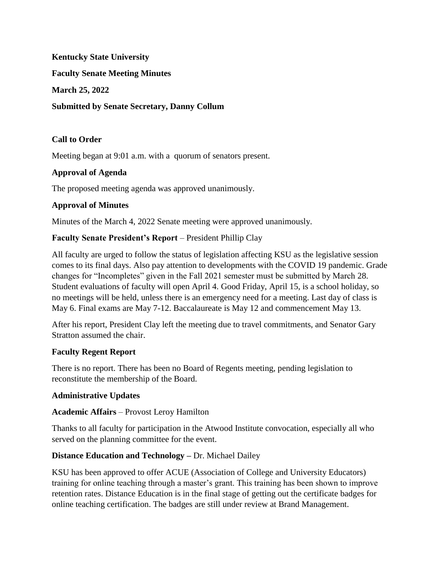**Kentucky State University**

**Faculty Senate Meeting Minutes**

**March 25, 2022**

### **Submitted by Senate Secretary, Danny Collum**

## **Call to Order**

Meeting began at 9:01 a.m. with a quorum of senators present.

## **Approval of Agenda**

The proposed meeting agenda was approved unanimously.

## **Approval of Minutes**

Minutes of the March 4, 2022 Senate meeting were approved unanimously.

## **Faculty Senate President's Report** – President Phillip Clay

All faculty are urged to follow the status of legislation affecting KSU as the legislative session comes to its final days. Also pay attention to developments with the COVID 19 pandemic. Grade changes for "Incompletes" given in the Fall 2021 semester must be submitted by March 28. Student evaluations of faculty will open April 4. Good Friday, April 15, is a school holiday, so no meetings will be held, unless there is an emergency need for a meeting. Last day of class is May 6. Final exams are May 7-12. Baccalaureate is May 12 and commencement May 13.

After his report, President Clay left the meeting due to travel commitments, and Senator Gary Stratton assumed the chair.

### **Faculty Regent Report**

There is no report. There has been no Board of Regents meeting, pending legislation to reconstitute the membership of the Board.

### **Administrative Updates**

### **Academic Affairs** – Provost Leroy Hamilton

Thanks to all faculty for participation in the Atwood Institute convocation, especially all who served on the planning committee for the event.

### **Distance Education and Technology –** Dr. Michael Dailey

KSU has been approved to offer ACUE (Association of College and University Educators) training for online teaching through a master's grant. This training has been shown to improve retention rates. Distance Education is in the final stage of getting out the certificate badges for online teaching certification. The badges are still under review at Brand Management.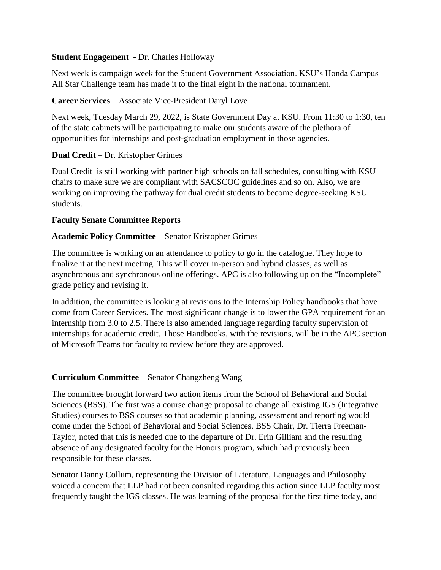### **Student Engagement -** Dr. Charles Holloway

Next week is campaign week for the Student Government Association. KSU's Honda Campus All Star Challenge team has made it to the final eight in the national tournament.

## **Career Services** – Associate Vice-President Daryl Love

Next week, Tuesday March 29, 2022, is State Government Day at KSU. From 11:30 to 1:30, ten of the state cabinets will be participating to make our students aware of the plethora of opportunities for internships and post-graduation employment in those agencies.

## **Dual Credit** – Dr. Kristopher Grimes

Dual Credit is still working with partner high schools on fall schedules, consulting with KSU chairs to make sure we are compliant with SACSCOC guidelines and so on. Also, we are working on improving the pathway for dual credit students to become degree-seeking KSU students.

### **Faculty Senate Committee Reports**

## **Academic Policy Committee** – Senator Kristopher Grimes

The committee is working on an attendance to policy to go in the catalogue. They hope to finalize it at the next meeting. This will cover in-person and hybrid classes, as well as asynchronous and synchronous online offerings. APC is also following up on the "Incomplete" grade policy and revising it.

In addition, the committee is looking at revisions to the Internship Policy handbooks that have come from Career Services. The most significant change is to lower the GPA requirement for an internship from 3.0 to 2.5. There is also amended language regarding faculty supervision of internships for academic credit. Those Handbooks, with the revisions, will be in the APC section of Microsoft Teams for faculty to review before they are approved.

## **Curriculum Committee –** Senator Changzheng Wang

The committee brought forward two action items from the School of Behavioral and Social Sciences (BSS). The first was a course change proposal to change all existing IGS (Integrative Studies) courses to BSS courses so that academic planning, assessment and reporting would come under the School of Behavioral and Social Sciences. BSS Chair, Dr. Tierra Freeman-Taylor, noted that this is needed due to the departure of Dr. Erin Gilliam and the resulting absence of any designated faculty for the Honors program, which had previously been responsible for these classes.

Senator Danny Collum, representing the Division of Literature, Languages and Philosophy voiced a concern that LLP had not been consulted regarding this action since LLP faculty most frequently taught the IGS classes. He was learning of the proposal for the first time today, and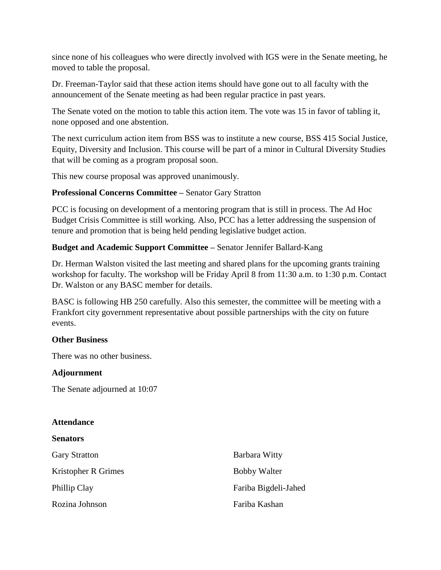since none of his colleagues who were directly involved with IGS were in the Senate meeting, he moved to table the proposal.

Dr. Freeman-Taylor said that these action items should have gone out to all faculty with the announcement of the Senate meeting as had been regular practice in past years.

The Senate voted on the motion to table this action item. The vote was 15 in favor of tabling it, none opposed and one abstention.

The next curriculum action item from BSS was to institute a new course, BSS 415 Social Justice, Equity, Diversity and Inclusion. This course will be part of a minor in Cultural Diversity Studies that will be coming as a program proposal soon.

This new course proposal was approved unanimously.

## **Professional Concerns Committee –** Senator Gary Stratton

PCC is focusing on development of a mentoring program that is still in process. The Ad Hoc Budget Crisis Committee is still working. Also, PCC has a letter addressing the suspension of tenure and promotion that is being held pending legislative budget action.

## **Budget and Academic Support Committee –** Senator Jennifer Ballard-Kang

Dr. Herman Walston visited the last meeting and shared plans for the upcoming grants training workshop for faculty. The workshop will be Friday April 8 from 11:30 a.m. to 1:30 p.m. Contact Dr. Walston or any BASC member for details.

BASC is following HB 250 carefully. Also this semester, the committee will be meeting with a Frankfort city government representative about possible partnerships with the city on future events.

### **Other Business**

There was no other business.

### **Adjournment**

The Senate adjourned at 10:07

### **Attendance**

| <b>Senators</b>      |                      |
|----------------------|----------------------|
| <b>Gary Stratton</b> | Barbara Witty        |
| Kristopher R Grimes  | <b>Bobby Walter</b>  |
| Phillip Clay         | Fariba Bigdeli-Jahed |
| Rozina Johnson       | Fariba Kashan        |